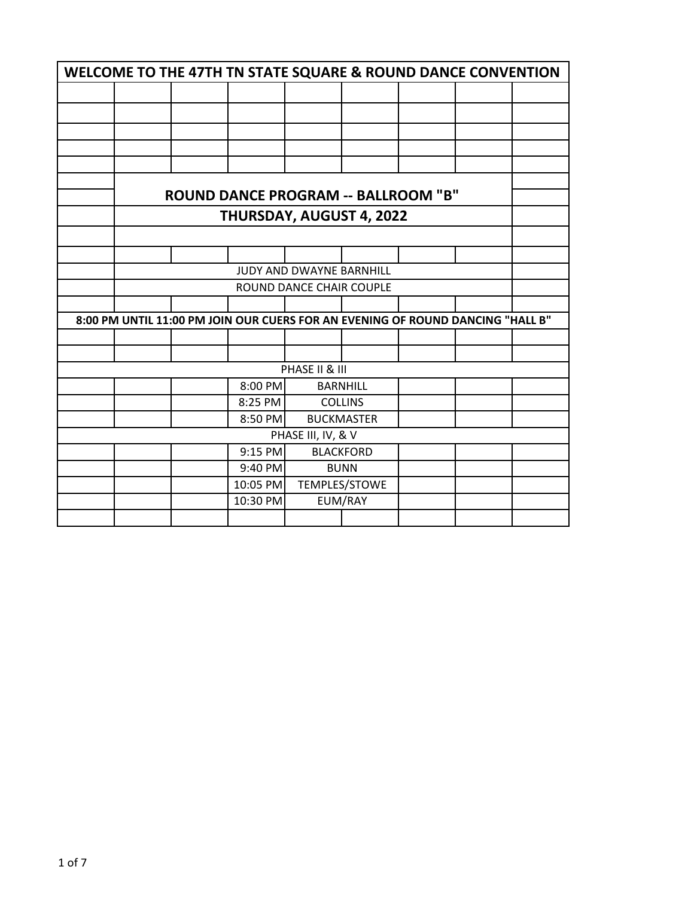| WELCOME TO THE 47TH TN STATE SQUARE & ROUND DANCE CONVENTION |                                                                                |  |                                            |                |                 |  |  |  |
|--------------------------------------------------------------|--------------------------------------------------------------------------------|--|--------------------------------------------|----------------|-----------------|--|--|--|
|                                                              |                                                                                |  |                                            |                |                 |  |  |  |
|                                                              |                                                                                |  |                                            |                |                 |  |  |  |
|                                                              |                                                                                |  |                                            |                |                 |  |  |  |
|                                                              |                                                                                |  |                                            |                |                 |  |  |  |
|                                                              |                                                                                |  |                                            |                |                 |  |  |  |
|                                                              |                                                                                |  |                                            |                |                 |  |  |  |
|                                                              |                                                                                |  | <b>ROUND DANCE PROGRAM -- BALLROOM "B"</b> |                |                 |  |  |  |
|                                                              |                                                                                |  | THURSDAY, AUGUST 4, 2022                   |                |                 |  |  |  |
|                                                              |                                                                                |  |                                            |                |                 |  |  |  |
|                                                              |                                                                                |  |                                            |                |                 |  |  |  |
| JUDY AND DWAYNE BARNHILL                                     |                                                                                |  |                                            |                |                 |  |  |  |
| ROUND DANCE CHAIR COUPLE                                     |                                                                                |  |                                            |                |                 |  |  |  |
|                                                              |                                                                                |  |                                            |                |                 |  |  |  |
|                                                              | 8:00 PM UNTIL 11:00 PM JOIN OUR CUERS FOR AN EVENING OF ROUND DANCING "HALL B" |  |                                            |                |                 |  |  |  |
|                                                              |                                                                                |  |                                            |                |                 |  |  |  |
|                                                              |                                                                                |  |                                            |                |                 |  |  |  |
|                                                              |                                                                                |  |                                            | PHASE II & III |                 |  |  |  |
|                                                              |                                                                                |  | 8:00 PM                                    |                | <b>BARNHILL</b> |  |  |  |
|                                                              |                                                                                |  | 8:25 PM                                    |                | <b>COLLINS</b>  |  |  |  |
|                                                              | 8:50 PM<br><b>BUCKMASTER</b>                                                   |  |                                            |                |                 |  |  |  |
| PHASE III, IV, & V                                           |                                                                                |  |                                            |                |                 |  |  |  |
|                                                              | 9:15 PM<br><b>BLACKFORD</b>                                                    |  |                                            |                |                 |  |  |  |
|                                                              |                                                                                |  | 9:40 PM                                    | <b>BUNN</b>    |                 |  |  |  |
|                                                              |                                                                                |  | 10:05 PM                                   | TEMPLES/STOWE  |                 |  |  |  |
|                                                              |                                                                                |  | 10:30 PM                                   |                | EUM/RAY         |  |  |  |
|                                                              |                                                                                |  |                                            |                |                 |  |  |  |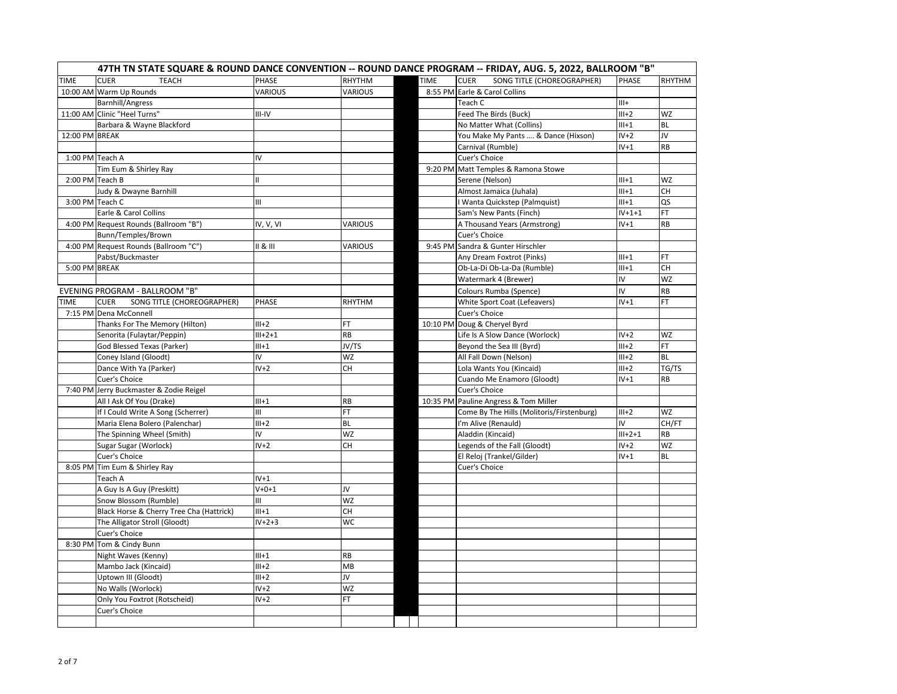|                 |                                           |                         |                |             | 47TH TN STATE SQUARE & ROUND DANCE CONVENTION -- ROUND DANCE PROGRAM -- FRIDAY, AUG. 5, 2022, BALLROOM "B" |               |           |
|-----------------|-------------------------------------------|-------------------------|----------------|-------------|------------------------------------------------------------------------------------------------------------|---------------|-----------|
| <b>TIME</b>     | <b>CUER</b><br><b>TEACH</b>               | PHASE                   | RHYTHM         | <b>TIME</b> | SONG TITLE (CHOREOGRAPHER)<br><b>CUER</b>                                                                  | <b>PHASE</b>  | RHYTHM    |
|                 | 10:00 AM Warm Up Rounds                   | <b>VARIOUS</b>          | <b>VARIOUS</b> |             | 8:55 PM Earle & Carol Collins                                                                              |               |           |
|                 | <b>Barnhill/Angress</b>                   |                         |                |             | Teach C                                                                                                    | $III+$        |           |
|                 | 11:00 AM Clinic "Heel Turns"              | III-IV                  |                |             | Feed The Birds (Buck)                                                                                      | $III+2$       | <b>WZ</b> |
|                 | Barbara & Wayne Blackford                 |                         |                |             | No Matter What (Collins)                                                                                   | $III+1$       | <b>BL</b> |
| 12:00 PM BREAK  |                                           |                         |                |             | You Make My Pants  & Dance (Hixson)                                                                        | $IV+2$        | JV.       |
|                 |                                           |                         |                |             | Carnival (Rumble)                                                                                          | $IV+1$        | <b>RB</b> |
| 1:00 PM Teach A |                                           | IV                      |                |             | Cuer's Choice                                                                                              |               |           |
|                 | Tim Eum & Shirley Ray                     |                         |                |             | 9:20 PM Matt Temples & Ramona Stowe                                                                        |               |           |
|                 | 2:00 PM Teach B                           | $\mathbf{II}$           |                |             | Serene (Nelson)                                                                                            | $III+1$       | WZ        |
|                 | Judy & Dwayne Barnhill                    |                         |                |             | Almost Jamaica (Juhala)                                                                                    | $III+1$       | CН        |
|                 | 3:00 PM Teach C                           | Ш                       |                |             | Wanta Quickstep (Palmquist)                                                                                | $III+1$       | QS        |
|                 | Earle & Carol Collins                     |                         |                |             | Sam's New Pants (Finch)                                                                                    | $IV+1+1$      | FT        |
|                 | 4:00 PM Request Rounds (Ballroom "B")     | $\overline{IV}$ , V, VI | VARIOUS        |             | A Thousand Years (Armstrong)                                                                               | $IV+1$        | <b>RB</b> |
|                 | Bunn/Temples/Brown                        |                         |                |             | Cuer's Choice                                                                                              |               |           |
|                 | 4:00 PM Request Rounds (Ballroom "C")     | 8                       | VARIOUS        |             | 9:45 PM Sandra & Gunter Hirschler                                                                          |               |           |
|                 | Pabst/Buckmaster                          |                         |                |             | Any Dream Foxtrot (Pinks)                                                                                  | $III+1$       | FT.       |
| 5:00 PM BREAK   |                                           |                         |                |             | Ob-La-Di Ob-La-Da (Rumble)                                                                                 | $III+1$       | CH        |
|                 |                                           |                         |                |             | Watermark 4 (Brewer)                                                                                       | IV            | <b>WZ</b> |
|                 | EVENING PROGRAM - BALLROOM "B"            |                         |                |             | Colours Rumba (Spence)                                                                                     | IV            | <b>RB</b> |
| <b>TIME</b>     | <b>CUER</b><br>SONG TITLE (CHOREOGRAPHER) | PHASE                   | RHYTHM         |             | <b>White Sport Coat (Lefeavers)</b>                                                                        | $IV+1$        | FT.       |
|                 | 7:15 PM Dena McConnell                    |                         |                |             | Cuer's Choice                                                                                              |               |           |
|                 | Thanks For The Memory (Hilton)            | $III+2$                 | FT             |             | 10:10 PM Doug & Cheryel Byrd                                                                               |               |           |
|                 | Senorita (Fulaytar/Peppin)                | $III + 2 + 1$           | RB             |             | Life Is A Slow Dance (Worlock)                                                                             | $IV+2$        | WZ        |
|                 | God Blessed Texas (Parker)                | $III+1$                 | JV/TS          |             | Beyond the Sea III (Byrd)                                                                                  | $III+2$       | FT        |
|                 | Coney Island (Gloodt)                     | IV                      | WZ             |             | All Fall Down (Nelson)                                                                                     | $III+2$       | <b>BL</b> |
|                 | Dance With Ya (Parker)                    | $IV+2$                  | <b>CH</b>      |             | Lola Wants You (Kincaid)                                                                                   | $III+2$       | TG/TS     |
|                 | Cuer's Choice                             |                         |                |             | Cuando Me Enamoro (Gloodt)                                                                                 | $IV+1$        | <b>RB</b> |
|                 | 7:40 PM Jerry Buckmaster & Zodie Reigel   |                         |                |             | Cuer's Choice                                                                                              |               |           |
|                 | All I Ask Of You (Drake)                  | $III+1$                 | RB             |             | 10:35 PM Pauline Angress & Tom Miller                                                                      |               |           |
|                 | If I Could Write A Song (Scherrer)        | Ш                       | FT.            |             | Come By The Hills (Molitoris/Firstenburg)                                                                  | $III+2$       | <b>WZ</b> |
|                 | Maria Elena Bolero (Palenchar)            | $III+2$                 | <b>BL</b>      |             | I'm Alive (Renauld)                                                                                        | IV            | CH/FT     |
|                 | The Spinning Wheel (Smith)                | IV                      | <b>WZ</b>      |             | Aladdin (Kincaid)                                                                                          | $III + 2 + 1$ | <b>RB</b> |
|                 | Sugar Sugar (Worlock)                     | $IV+2$                  | <b>CH</b>      |             | Legends of the Fall (Gloodt)                                                                               | $IV+2$        | WZ        |
|                 | Cuer's Choice                             |                         |                |             | El Reloj (Trankel/Gilder)                                                                                  | $IV+1$        | BL        |
|                 | 8:05 PM Tim Eum & Shirley Ray             |                         |                |             | Cuer's Choice                                                                                              |               |           |
|                 | Teach A                                   | $IV+1$                  |                |             |                                                                                                            |               |           |
|                 | A Guy Is A Guy (Preskitt)                 | $V + 0 + 1$             | JV             |             |                                                                                                            |               |           |
|                 | Snow Blossom (Rumble)                     | Ш                       | <b>WZ</b>      |             |                                                                                                            |               |           |
|                 | Black Horse & Cherry Tree Cha (Hattrick)  | $III+1$                 | <b>CH</b>      |             |                                                                                                            |               |           |
|                 | The Alligator Stroll (Gloodt)             | $IV+2+3$                | WC             |             |                                                                                                            |               |           |
|                 | Cuer's Choice                             |                         |                |             |                                                                                                            |               |           |
|                 | 8:30 PM Tom & Cindy Bunn                  |                         |                |             |                                                                                                            |               |           |
|                 | Night Waves (Kenny)                       | $III+1$                 | RB             |             |                                                                                                            |               |           |
|                 | Mambo Jack (Kincaid)                      | $III+2$                 | MB             |             |                                                                                                            |               |           |
|                 | Uptown III (Gloodt)                       | $III+2$                 | JV             |             |                                                                                                            |               |           |
|                 | No Walls (Worlock)                        | $IV+2$                  | WZ             |             |                                                                                                            |               |           |
|                 | Only You Foxtrot (Rotscheid)              | $IV+2$                  | FT             |             |                                                                                                            |               |           |
|                 | Cuer's Choice                             |                         |                |             |                                                                                                            |               |           |
|                 |                                           |                         |                |             |                                                                                                            |               |           |
|                 |                                           |                         |                |             |                                                                                                            |               |           |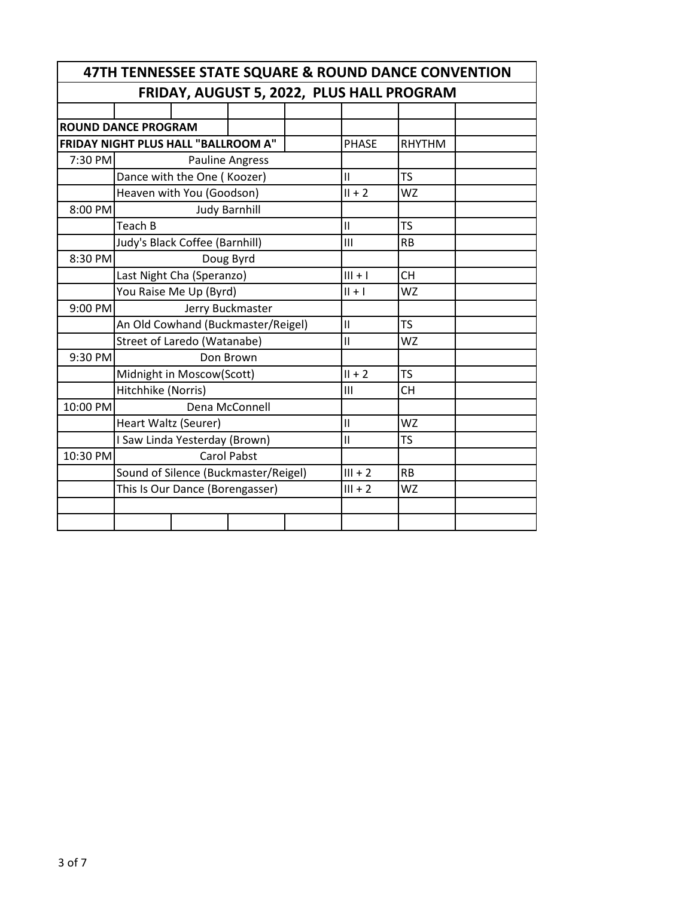| 47TH TENNESSEE STATE SQUARE & ROUND DANCE CONVENTION |                            |                                      |                        |               |               |           |  |  |  |
|------------------------------------------------------|----------------------------|--------------------------------------|------------------------|---------------|---------------|-----------|--|--|--|
| FRIDAY, AUGUST 5, 2022, PLUS HALL PROGRAM            |                            |                                      |                        |               |               |           |  |  |  |
|                                                      |                            |                                      |                        |               |               |           |  |  |  |
|                                                      | <b>ROUND DANCE PROGRAM</b> |                                      |                        |               |               |           |  |  |  |
|                                                      |                            | FRIDAY NIGHT PLUS HALL "BALLROOM A"  | <b>PHASE</b>           | <b>RHYTHM</b> |               |           |  |  |  |
| 7:30 PM                                              |                            |                                      | <b>Pauline Angress</b> |               |               |           |  |  |  |
|                                                      |                            | Dance with the One (Koozer)          |                        | $\mathbf{H}$  | <b>TS</b>     |           |  |  |  |
|                                                      |                            | Heaven with You (Goodson)            |                        |               | $II + 2$      | <b>WZ</b> |  |  |  |
| 8:00 PM                                              |                            |                                      | <b>Judy Barnhill</b>   |               |               |           |  |  |  |
|                                                      | Teach B                    |                                      |                        |               | $\mathbf{I}$  | <b>TS</b> |  |  |  |
|                                                      |                            | Judy's Black Coffee (Barnhill)       |                        |               | III           | <b>RB</b> |  |  |  |
| 8:30 PM                                              |                            |                                      | Doug Byrd              |               |               |           |  |  |  |
|                                                      |                            | Last Night Cha (Speranzo)            |                        |               | $III + I$     | <b>CH</b> |  |  |  |
|                                                      |                            | You Raise Me Up (Byrd)               |                        |               | $   +  $      | <b>WZ</b> |  |  |  |
| 9:00 PM                                              |                            |                                      | Jerry Buckmaster       |               |               |           |  |  |  |
|                                                      |                            | An Old Cowhand (Buckmaster/Reigel)   |                        |               | $\mathbf{I}$  | <b>TS</b> |  |  |  |
|                                                      |                            | Street of Laredo (Watanabe)          |                        |               | $\mathsf{II}$ | <b>WZ</b> |  |  |  |
| 9:30 PM                                              |                            |                                      | Don Brown              |               |               |           |  |  |  |
|                                                      |                            | Midnight in Moscow(Scott)            |                        |               | $II + 2$      | <b>TS</b> |  |  |  |
|                                                      | Hitchhike (Norris)         |                                      |                        |               | III           | <b>CH</b> |  |  |  |
| 10:00 PM                                             |                            |                                      | Dena McConnell         |               |               |           |  |  |  |
|                                                      | Heart Waltz (Seurer)       |                                      |                        |               | $\mathbf{I}$  | <b>WZ</b> |  |  |  |
|                                                      |                            | I Saw Linda Yesterday (Brown)        |                        |               | $\mathbf{I}$  | <b>TS</b> |  |  |  |
| 10:30 PM                                             |                            |                                      | <b>Carol Pabst</b>     |               |               |           |  |  |  |
|                                                      |                            | Sound of Silence (Buckmaster/Reigel) |                        | $III + 2$     | <b>RB</b>     |           |  |  |  |
|                                                      |                            | This Is Our Dance (Borengasser)      |                        |               | $III + 2$     | <b>WZ</b> |  |  |  |
|                                                      |                            |                                      |                        |               |               |           |  |  |  |
|                                                      |                            |                                      |                        |               |               |           |  |  |  |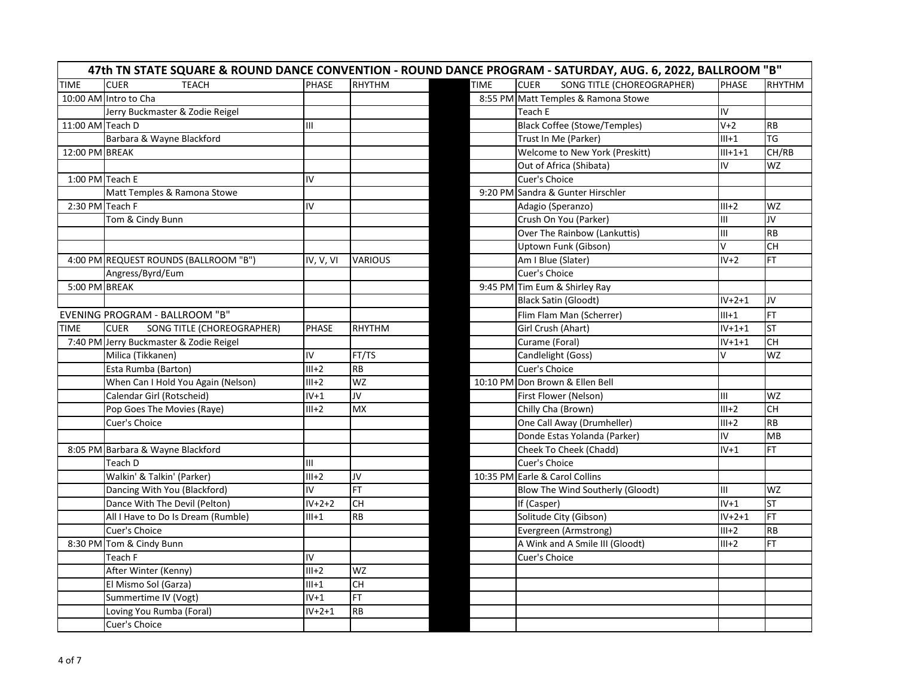| 47th TN STATE SQUARE & ROUND DANCE CONVENTION - ROUND DANCE PROGRAM - SATURDAY, AUG. 6, 2022, BALLROOM "B" |                                           |              |               |             |                                           |               |                 |  |
|------------------------------------------------------------------------------------------------------------|-------------------------------------------|--------------|---------------|-------------|-------------------------------------------|---------------|-----------------|--|
| <b>TIME</b>                                                                                                | <b>CUER</b><br><b>TEACH</b>               | <b>PHASE</b> | <b>RHYTHM</b> | <b>TIME</b> | <b>CUER</b><br>SONG TITLE (CHOREOGRAPHER) | <b>PHASE</b>  | <b>RHYTHM</b>   |  |
|                                                                                                            | 10:00 AM Intro to Cha                     |              |               |             | 8:55 PM Matt Temples & Ramona Stowe       |               |                 |  |
|                                                                                                            | Jerry Buckmaster & Zodie Reigel           |              |               |             | Teach E                                   | IV.           |                 |  |
| 11:00 AM Teach D                                                                                           |                                           | Ē            |               |             | <b>Black Coffee (Stowe/Temples)</b>       | $V+2$         | <b>RB</b>       |  |
|                                                                                                            | Barbara & Wayne Blackford                 |              |               |             | Trust In Me (Parker)                      | $III+1$       | TG              |  |
| 12:00 PM BREAK                                                                                             |                                           |              |               |             | Welcome to New York (Preskitt)            | $III + 1 + 1$ | CH/RB           |  |
|                                                                                                            |                                           |              |               |             | Out of Africa (Shibata)                   | IV            | WZ              |  |
| 1:00 PM Teach E                                                                                            |                                           | IV           |               |             | Cuer's Choice                             |               |                 |  |
|                                                                                                            | Matt Temples & Ramona Stowe               |              |               |             | 9:20 PM Sandra & Gunter Hirschler         |               |                 |  |
| 2:30 PM Teach F                                                                                            |                                           | IV           |               |             | Adagio (Speranzo)                         | $III+2$       | WZ              |  |
|                                                                                                            | Tom & Cindy Bunn                          |              |               |             | Crush On You (Parker)                     | Ш             | JV              |  |
|                                                                                                            |                                           |              |               |             | Over The Rainbow (Lankuttis)              | Ш             | <b>RB</b>       |  |
|                                                                                                            |                                           |              |               |             | Uptown Funk (Gibson)                      | V             | CH              |  |
|                                                                                                            | 4:00 PM REQUEST ROUNDS (BALLROOM "B")     | IV, V, VI    | VARIOUS       |             | Am I Blue (Slater)                        | $IV+2$        | FT.             |  |
|                                                                                                            | Angress/Byrd/Eum                          |              |               |             | Cuer's Choice                             |               |                 |  |
| 5:00 PM BREAK                                                                                              |                                           |              |               |             | 9:45 PM Tim Eum & Shirley Ray             |               |                 |  |
|                                                                                                            |                                           |              |               |             | <b>Black Satin (Gloodt)</b>               | $IV+2+1$      | JV              |  |
|                                                                                                            | EVENING PROGRAM - BALLROOM "B"            |              |               |             | Flim Flam Man (Scherrer)                  | $III+1$       | FT.             |  |
| TIME                                                                                                       | <b>CUER</b><br>SONG TITLE (CHOREOGRAPHER) | <b>PHASE</b> | RHYTHM        |             | Girl Crush (Ahart)                        | $IV+1+1$      | ST              |  |
|                                                                                                            | 7:40 PM Jerry Buckmaster & Zodie Reigel   |              |               |             | Curame (Foral)                            | $IV+1+1$      | $\overline{CH}$ |  |
|                                                                                                            | Milica (Tikkanen)                         | IV           | FT/TS         |             | Candlelight (Goss)                        | V             | <b>WZ</b>       |  |
|                                                                                                            | Esta Rumba (Barton)                       | $III+2$      | <b>RB</b>     |             | Cuer's Choice                             |               |                 |  |
|                                                                                                            | When Can I Hold You Again (Nelson)        | $III+2$      | <b>WZ</b>     |             | 10:10 PM Don Brown & Ellen Bell           |               |                 |  |
|                                                                                                            | Calendar Girl (Rotscheid)                 | $IV+1$       | JV            |             | First Flower (Nelson)                     | Ш             | WZ              |  |
|                                                                                                            | Pop Goes The Movies (Raye)                | $III+2$      | <b>MX</b>     |             | Chilly Cha (Brown)                        | $III+2$       | <b>CH</b>       |  |
|                                                                                                            | Cuer's Choice                             |              |               |             | One Call Away (Drumheller)                | $III+2$       | <b>RB</b>       |  |
|                                                                                                            |                                           |              |               |             | Donde Estas Yolanda (Parker)              | IV            | <b>MB</b>       |  |
|                                                                                                            | 8:05 PM Barbara & Wayne Blackford         |              |               |             | Cheek To Cheek (Chadd)                    | $IV+1$        | FT.             |  |
|                                                                                                            | Teach D                                   | ШL           |               |             | Cuer's Choice                             |               |                 |  |
|                                                                                                            | Walkin' & Talkin' (Parker)                | $III+2$      | JV            |             | 10:35 PM Earle & Carol Collins            |               |                 |  |
|                                                                                                            | Dancing With You (Blackford)              | IV           | FT.           |             | Blow The Wind Southerly (Gloodt)          | Ш             | WZ              |  |
|                                                                                                            | Dance With The Devil (Pelton)             | $IV+2+2$     | <b>CH</b>     |             | If (Casper)                               | $IV+1$        | <b>ST</b>       |  |
|                                                                                                            | All I Have to Do Is Dream (Rumble)        | $III+1$      | <b>RB</b>     |             | Solitude City (Gibson)                    | $IV+2+1$      | FT.             |  |
|                                                                                                            | Cuer's Choice                             |              |               |             | Evergreen (Armstrong)                     | $III+2$       | <b>RB</b>       |  |
|                                                                                                            | 8:30 PM Tom & Cindy Bunn                  |              |               |             | A Wink and A Smile III (Gloodt)           | $III+2$       | <b>FT</b>       |  |
|                                                                                                            | Teach F                                   | IV           |               |             | Cuer's Choice                             |               |                 |  |
|                                                                                                            | After Winter (Kenny)                      | $III+2$      | WZ            |             |                                           |               |                 |  |
|                                                                                                            | El Mismo Sol (Garza)                      | $III+1$      | <b>CH</b>     |             |                                           |               |                 |  |
|                                                                                                            | Summertime IV (Vogt)                      | $IV+1$       | FT.           |             |                                           |               |                 |  |
|                                                                                                            | Loving You Rumba (Foral)                  | $IV+2+1$     | <b>RB</b>     |             |                                           |               |                 |  |
|                                                                                                            | Cuer's Choice                             |              |               |             |                                           |               |                 |  |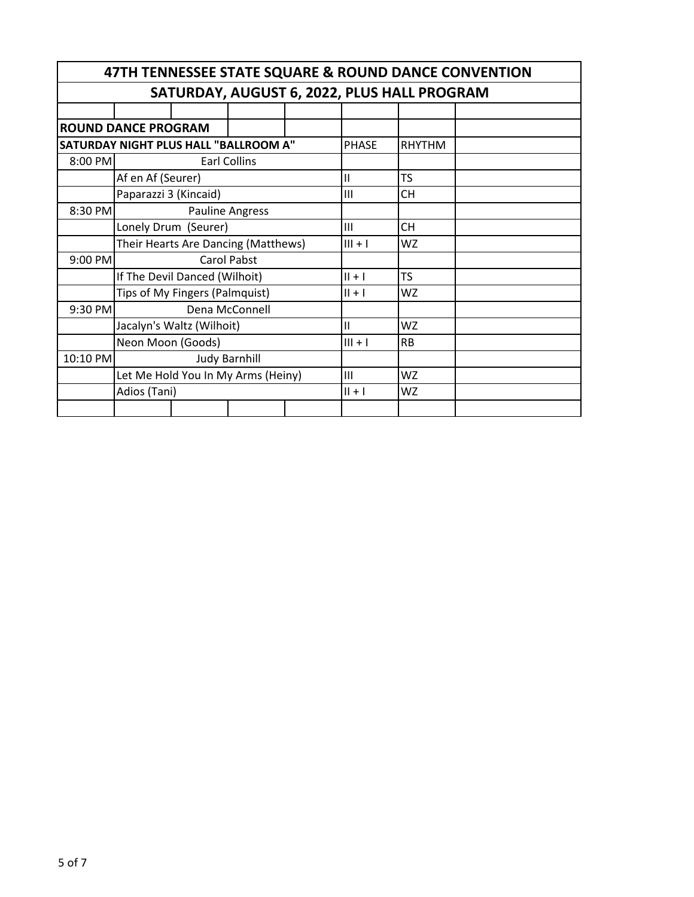| 47TH TENNESSEE STATE SQUARE & ROUND DANCE CONVENTION |                                    |                                       |                    |  |              |               |  |  |  |  |
|------------------------------------------------------|------------------------------------|---------------------------------------|--------------------|--|--------------|---------------|--|--|--|--|
| SATURDAY, AUGUST 6, 2022, PLUS HALL PROGRAM          |                                    |                                       |                    |  |              |               |  |  |  |  |
|                                                      |                                    |                                       |                    |  |              |               |  |  |  |  |
| <b>ROUND DANCE PROGRAM</b>                           |                                    |                                       |                    |  |              |               |  |  |  |  |
|                                                      |                                    | SATURDAY NIGHT PLUS HALL "BALLROOM A" |                    |  | <b>PHASE</b> | <b>RHYTHM</b> |  |  |  |  |
| 8:00 PM                                              |                                    |                                       | Earl Collins       |  |              |               |  |  |  |  |
|                                                      | Af en Af (Seurer)                  |                                       |                    |  | $\mathbf{I}$ | <b>TS</b>     |  |  |  |  |
|                                                      | Paparazzi 3 (Kincaid)              |                                       |                    |  | Ш            | CН            |  |  |  |  |
| 8:30 PM                                              |                                    |                                       | Pauline Angress    |  |              |               |  |  |  |  |
|                                                      | Lonely Drum (Seurer)               |                                       |                    |  | Ш            | <b>CH</b>     |  |  |  |  |
|                                                      |                                    | Their Hearts Are Dancing (Matthews)   |                    |  | $III + I$    | WZ            |  |  |  |  |
| 9:00 PM                                              |                                    |                                       | <b>Carol Pabst</b> |  |              |               |  |  |  |  |
|                                                      | If The Devil Danced (Wilhoit)      |                                       |                    |  | $   +  $     | TS            |  |  |  |  |
|                                                      | Tips of My Fingers (Palmquist)     |                                       |                    |  | $   +  $     | WZ            |  |  |  |  |
| 9:30 PM                                              |                                    |                                       | Dena McConnell     |  |              |               |  |  |  |  |
|                                                      |                                    | Jacalyn's Waltz (Wilhoit)             |                    |  | $\mathbf{H}$ | WZ            |  |  |  |  |
|                                                      | Neon Moon (Goods)                  |                                       |                    |  | $III + I$    | <b>RB</b>     |  |  |  |  |
| 10:10 PM                                             |                                    | <b>Judy Barnhill</b>                  |                    |  |              |               |  |  |  |  |
|                                                      | Let Me Hold You In My Arms (Heiny) |                                       |                    |  |              | WZ            |  |  |  |  |
|                                                      | Adios (Tani)                       |                                       |                    |  | $   +  $     | WZ            |  |  |  |  |
|                                                      |                                    |                                       |                    |  |              |               |  |  |  |  |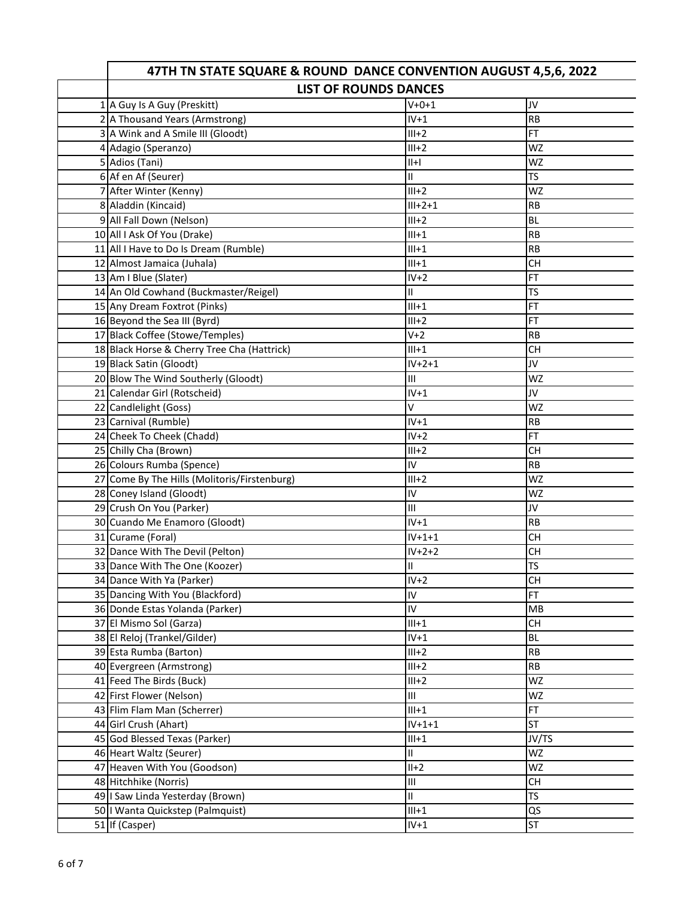| 47TH TN STATE SQUARE & ROUND DANCE CONVENTION AUGUST 4,5,6, 2022 |               |           |  |  |  |  |  |
|------------------------------------------------------------------|---------------|-----------|--|--|--|--|--|
| <b>LIST OF ROUNDS DANCES</b>                                     |               |           |  |  |  |  |  |
| 1 A Guy Is A Guy (Preskitt)                                      | $V + 0 + 1$   | JV        |  |  |  |  |  |
| 2 A Thousand Years (Armstrong)                                   | $IV+1$        | <b>RB</b> |  |  |  |  |  |
| 3 A Wink and A Smile III (Gloodt)                                | $III+2$       | <b>FT</b> |  |  |  |  |  |
| 4 Adagio (Speranzo)                                              | $III+2$       | <b>WZ</b> |  |  |  |  |  |
| 5 Adios (Tani)                                                   | $  +  $       | WZ        |  |  |  |  |  |
| 6 Af en Af (Seurer)                                              | $\mathbf{H}$  | <b>TS</b> |  |  |  |  |  |
| 7 After Winter (Kenny)                                           | $III+2$       | WZ        |  |  |  |  |  |
| 8 Aladdin (Kincaid)                                              | $III + 2 + 1$ | <b>RB</b> |  |  |  |  |  |
| 9 All Fall Down (Nelson)                                         | $III+2$       | <b>BL</b> |  |  |  |  |  |
| 10 All I Ask Of You (Drake)                                      | $III+1$       | <b>RB</b> |  |  |  |  |  |
| 11 All I Have to Do Is Dream (Rumble)                            | $III+1$       | <b>RB</b> |  |  |  |  |  |
| 12 Almost Jamaica (Juhala)                                       | $III+1$       | <b>CH</b> |  |  |  |  |  |
| 13 Am I Blue (Slater)                                            | $IV+2$        | FT        |  |  |  |  |  |
| 14 An Old Cowhand (Buckmaster/Reigel)                            | $\mathbf{H}$  | TS        |  |  |  |  |  |
| 15 Any Dream Foxtrot (Pinks)                                     | $III+1$       | <b>FT</b> |  |  |  |  |  |
| 16 Beyond the Sea III (Byrd)                                     | $III+2$       | <b>FT</b> |  |  |  |  |  |
| 17 Black Coffee (Stowe/Temples)                                  | $V+2$         | <b>RB</b> |  |  |  |  |  |
| 18 Black Horse & Cherry Tree Cha (Hattrick)                      | $III+1$       | <b>CH</b> |  |  |  |  |  |
| 19 Black Satin (Gloodt)                                          | $IV+2+1$      | JV        |  |  |  |  |  |
| 20 Blow The Wind Southerly (Gloodt)                              | Ш             | <b>WZ</b> |  |  |  |  |  |
| 21 Calendar Girl (Rotscheid)                                     | $IV+1$        | JV        |  |  |  |  |  |
| 22 Candlelight (Goss)                                            | v             | <b>WZ</b> |  |  |  |  |  |
| 23 Carnival (Rumble)                                             | $IV+1$        | <b>RB</b> |  |  |  |  |  |
| 24 Cheek To Cheek (Chadd)                                        | $IV+2$        | <b>FT</b> |  |  |  |  |  |
| 25 Chilly Cha (Brown)                                            | $III+2$       | <b>CH</b> |  |  |  |  |  |
| 26 Colours Rumba (Spence)                                        | IV            | <b>RB</b> |  |  |  |  |  |
| 27 Come By The Hills (Molitoris/Firstenburg)                     | $III+2$       | <b>WZ</b> |  |  |  |  |  |
| 28 Coney Island (Gloodt)                                         | IV            | <b>WZ</b> |  |  |  |  |  |
| 29 Crush On You (Parker)                                         | III           | JV        |  |  |  |  |  |
| 30 Cuando Me Enamoro (Gloodt)                                    | $IV+1$        | <b>RB</b> |  |  |  |  |  |
| 31 Curame (Foral)                                                | $IV+1+1$      | <b>CH</b> |  |  |  |  |  |
| 32 Dance With The Devil (Pelton)                                 | $IV+2+2$      | <b>CH</b> |  |  |  |  |  |
| 33 Dance With The One (Koozer)                                   | $\mathbf{I}$  | TS        |  |  |  |  |  |
| 34 Dance With Ya (Parker)                                        | $IV+2$        | <b>CH</b> |  |  |  |  |  |
| 35 Dancing With You (Blackford)                                  | IV            | <b>FT</b> |  |  |  |  |  |
| 36 Donde Estas Yolanda (Parker)                                  | IV.           | MB        |  |  |  |  |  |
| 37 El Mismo Sol (Garza)                                          | $III+1$       | CH        |  |  |  |  |  |
| 38 El Reloj (Trankel/Gilder)                                     | $IV+1$        | BL.       |  |  |  |  |  |
| 39 Esta Rumba (Barton)                                           | $III+2$       | <b>RB</b> |  |  |  |  |  |
| 40 Evergreen (Armstrong)                                         | $III+2$       | RB        |  |  |  |  |  |
| 41 Feed The Birds (Buck)                                         | $III+2$       | WZ        |  |  |  |  |  |
| 42 First Flower (Nelson)                                         | III           | WZ        |  |  |  |  |  |
| 43 Flim Flam Man (Scherrer)                                      | $III+1$       | FT.       |  |  |  |  |  |
| 44 Girl Crush (Ahart)                                            | $IV + 1 + 1$  | <b>ST</b> |  |  |  |  |  |
| 45 God Blessed Texas (Parker)                                    | $III+1$       | JV/TS     |  |  |  |  |  |
| 46 Heart Waltz (Seurer)                                          | Ш             | WZ        |  |  |  |  |  |
| 47 Heaven With You (Goodson)                                     | $II+2$        | WZ        |  |  |  |  |  |
| 48 Hitchhike (Norris)                                            | III           | CH        |  |  |  |  |  |
| 49   Saw Linda Yesterday (Brown)                                 | $\mathbf{II}$ | <b>TS</b> |  |  |  |  |  |
| 50   Wanta Quickstep (Palmquist)                                 | $III+1$       | QS        |  |  |  |  |  |
| 51 If (Casper)                                                   | $IV+1$        | <b>ST</b> |  |  |  |  |  |